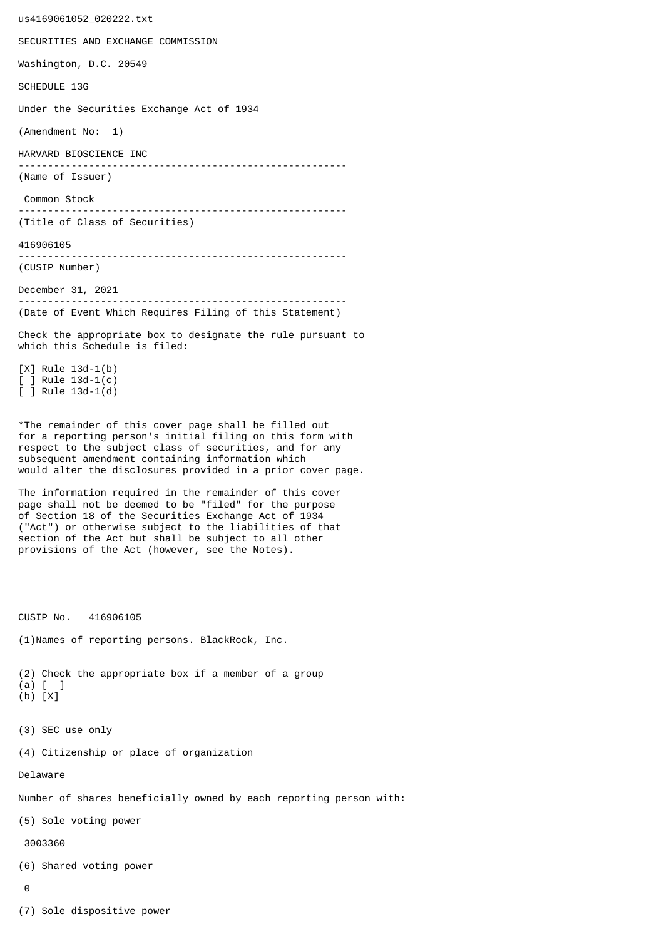us4169061052\_020222.txt SECURITIES AND EXCHANGE COMMISSION Washington, D.C. 20549 SCHEDULE 13G Under the Securities Exchange Act of 1934 (Amendment No: 1) HARVARD BIOSCIENCE INC -------------------------------------------------------- (Name of Issuer) Common Stock -------------------------------------------------------- (Title of Class of Securities) 416906105 -------------------------------------------------------- (CUSIP Number) December 31, 2021 -------------------------------------------------------- (Date of Event Which Requires Filing of this Statement) Check the appropriate box to designate the rule pursuant to which this Schedule is filed: [X] Rule 13d-1(b) [ ] Rule 13d-1(c) [ ] Rule 13d-1(d) \*The remainder of this cover page shall be filled out for a reporting person's initial filing on this form with respect to the subject class of securities, and for any subsequent amendment containing information which would alter the disclosures provided in a prior cover page. The information required in the remainder of this cover page shall not be deemed to be "filed" for the purpose of Section 18 of the Securities Exchange Act of 1934 ("Act") or otherwise subject to the liabilities of that section of the Act but shall be subject to all other provisions of the Act (however, see the Notes). CUSIP No. 416906105 (1)Names of reporting persons. BlackRock, Inc. (2) Check the appropriate box if a member of a group (a) [ ] (b) [X] (3) SEC use only (4) Citizenship or place of organization Delaware Number of shares beneficially owned by each reporting person with: (5) Sole voting power 3003360 (6) Shared voting power  $\Omega$ 

(7) Sole dispositive power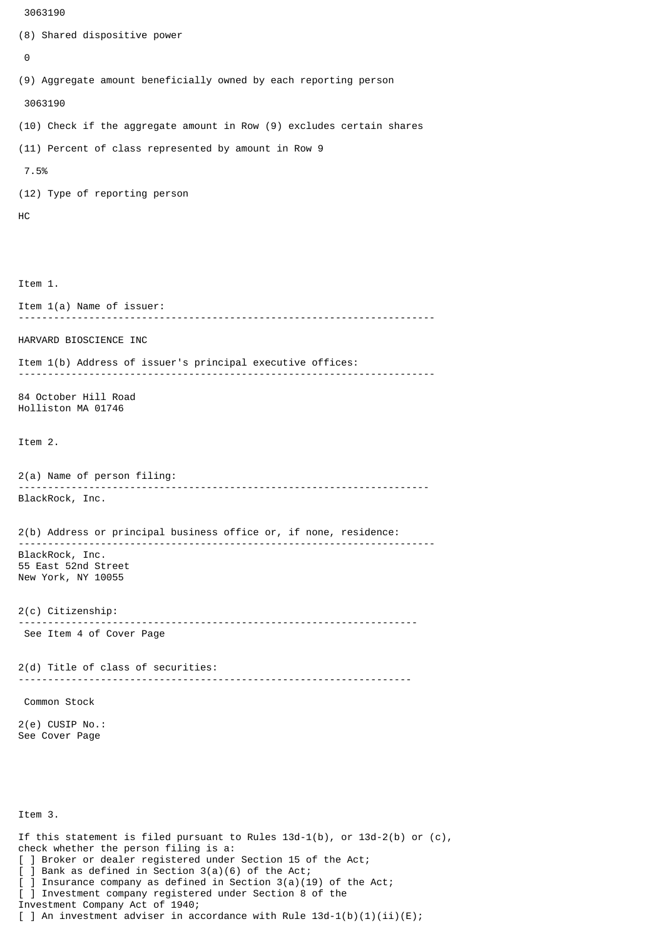```
 3063190
(8) Shared dispositive power
 \boldsymbol{\Theta}(9) Aggregate amount beneficially owned by each reporting person
  3063190
(10) Check if the aggregate amount in Row (9) excludes certain shares
(11) Percent of class represented by amount in Row 9
  7.5%
(12) Type of reporting person
HC
Item 1.
Item 1(a) Name of issuer:
           -----------------------------------------------------------------------
HARVARD BIOSCIENCE INC
Item 1(b) Address of issuer's principal executive offices:
-----------------------------------------------------------------------
84 October Hill Road
Holliston MA 01746
Item 2.
2(a) Name of person filing:
               ----------------------------------------------------------------------
BlackRock, Inc.
2(b) Address or principal business office or, if none, residence:
 -----------------------------------------------------------------------
BlackRock, Inc.
55 East 52nd Street
New York, NY 10055
2(c) Citizenship:
                             --------------------------------------------------------------------
 See Item 4 of Cover Page
2(d) Title of class of securities:
                                        -------------------------------------------------------------------
 Common Stock
2(e) CUSIP No.:
See Cover Page
```
Item 3.

If this statement is filed pursuant to Rules  $13d-1(b)$ , or  $13d-2(b)$  or  $(c)$ , check whether the person filing is a: [ ] Broker or dealer registered under Section 15 of the Act; [ ] Bank as defined in Section 3(a)(6) of the Act; ] Insurance company as defined in Section  $3(a)(19)$  of the Act; [ ] Investment company registered under Section 8 of the Investment Company Act of 1940; [ ] An investment adviser in accordance with Rule  $13d-1(b)(1)(ii)(E)$ ;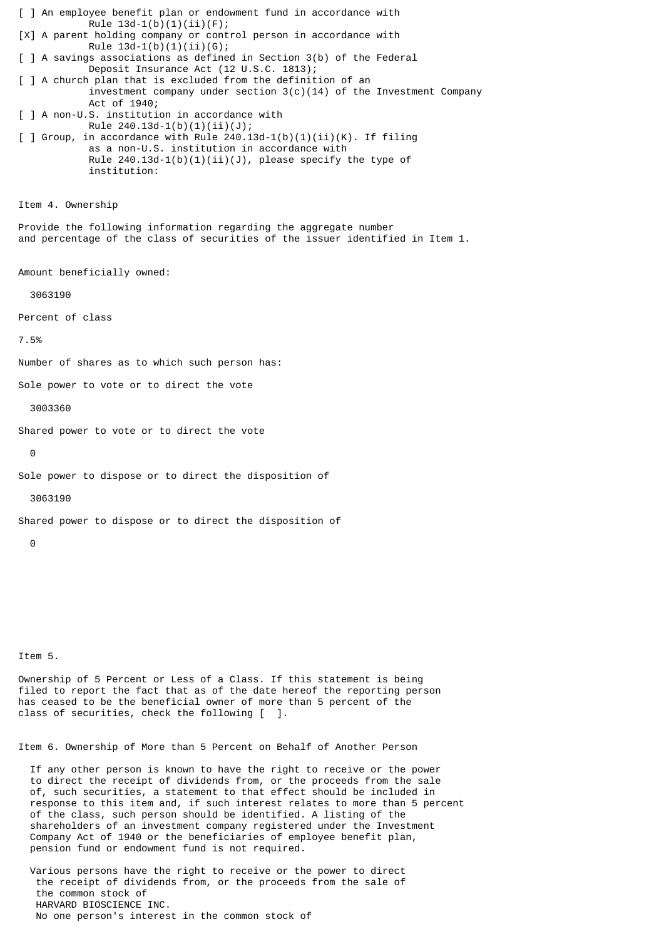[ ] An employee benefit plan or endowment fund in accordance with Rule  $13d-1(b)(1)(ii)(F);$ [X] A parent holding company or control person in accordance with Rule  $13d-1(b)(1)(ii)(G);$ [ ] A savings associations as defined in Section 3(b) of the Federal Deposit Insurance Act (12 U.S.C. 1813); [ ] A church plan that is excluded from the definition of an investment company under section  $3(c)(14)$  of the Investment Company Act of 1940; [ ] A non-U.S. institution in accordance with Rule  $240.13d-1(b)(1)(ii)(J);$  $\lceil$  ] Group, in accordance with Rule 240.13d-1(b)(1)(ii)(K). If filing as a non-U.S. institution in accordance with Rule  $240.13d-1(b)(1)(ii)(J)$ , please specify the type of institution: Item 4. Ownership Provide the following information regarding the aggregate number and percentage of the class of securities of the issuer identified in Item 1. Amount beneficially owned: 3063190 Percent of class 7.5% Number of shares as to which such person has: Sole power to vote or to direct the vote 3003360 Shared power to vote or to direct the vote  $\Theta$ Sole power to dispose or to direct the disposition of 3063190 Shared power to dispose or to direct the disposition of 0

Item 5.

Ownership of 5 Percent or Less of a Class. If this statement is being filed to report the fact that as of the date hereof the reporting person has ceased to be the beneficial owner of more than 5 percent of the class of securities, check the following [ ].

Item 6. Ownership of More than 5 Percent on Behalf of Another Person

 If any other person is known to have the right to receive or the power to direct the receipt of dividends from, or the proceeds from the sale of, such securities, a statement to that effect should be included in response to this item and, if such interest relates to more than 5 percent of the class, such person should be identified. A listing of the shareholders of an investment company registered under the Investment Company Act of 1940 or the beneficiaries of employee benefit plan, pension fund or endowment fund is not required.

 Various persons have the right to receive or the power to direct the receipt of dividends from, or the proceeds from the sale of the common stock of HARVARD BIOSCIENCE INC. No one person's interest in the common stock of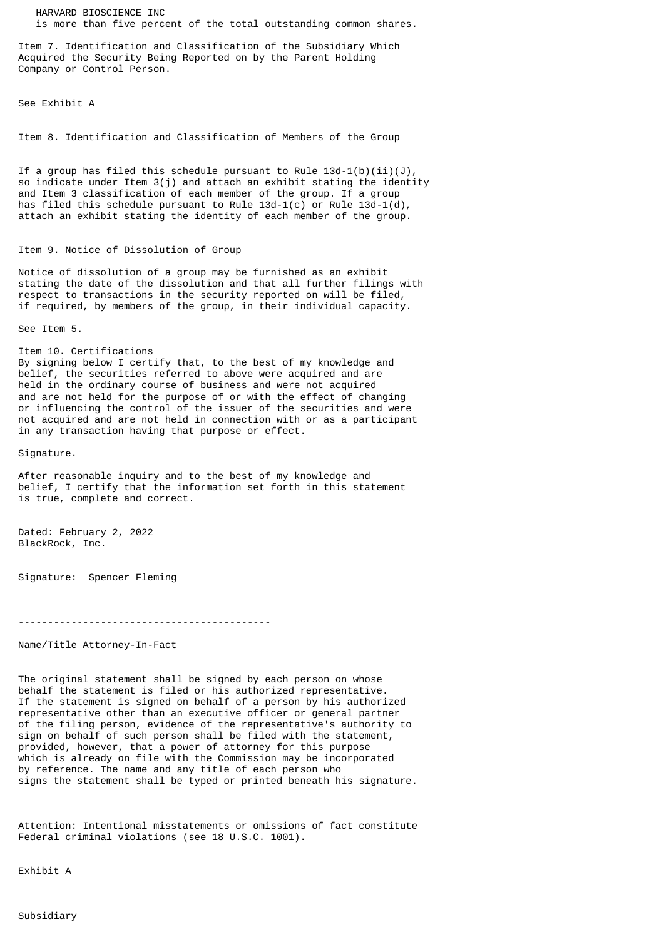HARVARD BIOSCIENCE INC is more than five percent of the total outstanding common shares.

Item 7. Identification and Classification of the Subsidiary Which Acquired the Security Being Reported on by the Parent Holding Company or Control Person.

See Exhibit A

Item 8. Identification and Classification of Members of the Group

If a group has filed this schedule pursuant to Rule  $13d-1(b)(ii)(J)$ , so indicate under Item 3(j) and attach an exhibit stating the identity and Item 3 classification of each member of the group. If a group has filed this schedule pursuant to Rule  $13d-1(c)$  or Rule  $13d-1(d)$ , attach an exhibit stating the identity of each member of the group.

## Item 9. Notice of Dissolution of Group

Notice of dissolution of a group may be furnished as an exhibit stating the date of the dissolution and that all further filings with respect to transactions in the security reported on will be filed, if required, by members of the group, in their individual capacity.

See Item 5.

Item 10. Certifications By signing below I certify that, to the best of my knowledge and belief, the securities referred to above were acquired and are held in the ordinary course of business and were not acquired and are not held for the purpose of or with the effect of changing or influencing the control of the issuer of the securities and were not acquired and are not held in connection with or as a participant in any transaction having that purpose or effect.

Signature.

After reasonable inquiry and to the best of my knowledge and belief, I certify that the information set forth in this statement is true, complete and correct.

Dated: February 2, 2022 BlackRock, Inc.

Signature: Spencer Fleming

-------------------------------------------

Name/Title Attorney-In-Fact

The original statement shall be signed by each person on whose behalf the statement is filed or his authorized representative. If the statement is signed on behalf of a person by his authorized representative other than an executive officer or general partner of the filing person, evidence of the representative's authority to sign on behalf of such person shall be filed with the statement, provided, however, that a power of attorney for this purpose which is already on file with the Commission may be incorporated by reference. The name and any title of each person who signs the statement shall be typed or printed beneath his signature.

Attention: Intentional misstatements or omissions of fact constitute Federal criminal violations (see 18 U.S.C. 1001).

Exhibit A